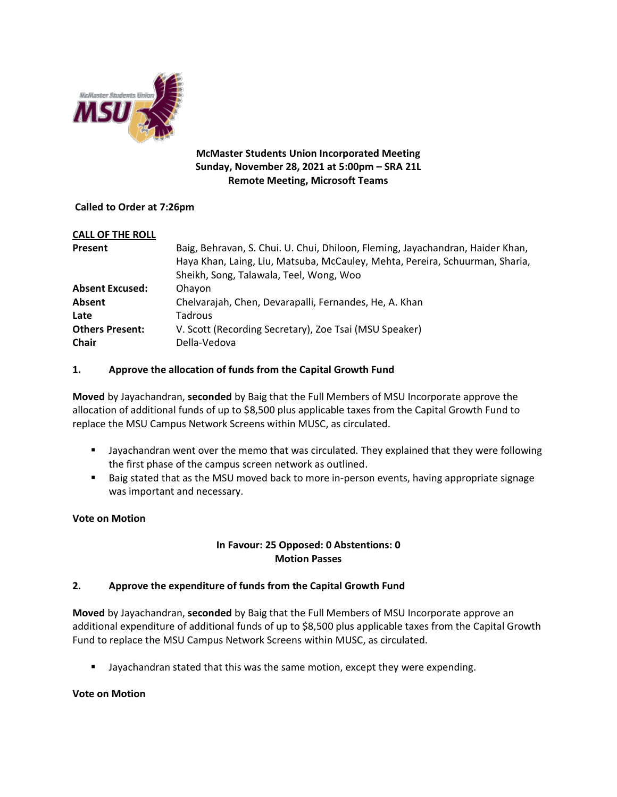

### **McMaster Students Union Incorporated Meeting Sunday, November 28, 2021 at 5:00pm – SRA 21L Remote Meeting, Microsoft Teams**

#### **Called to Order at 7:26pm**

| <b>CALL OF THE ROLL</b> |                                                                                |
|-------------------------|--------------------------------------------------------------------------------|
| Present                 | Baig, Behravan, S. Chui. U. Chui, Dhiloon, Fleming, Jayachandran, Haider Khan, |
|                         | Haya Khan, Laing, Liu, Matsuba, McCauley, Mehta, Pereira, Schuurman, Sharia,   |
|                         | Sheikh, Song, Talawala, Teel, Wong, Woo                                        |
| <b>Absent Excused:</b>  | Ohayon                                                                         |
| Absent                  | Chelvarajah, Chen, Devarapalli, Fernandes, He, A. Khan                         |
| Late                    | Tadrous                                                                        |
| <b>Others Present:</b>  | V. Scott (Recording Secretary), Zoe Tsai (MSU Speaker)                         |
| <b>Chair</b>            | Della-Vedova                                                                   |

### **1. Approve the allocation of funds from the Capital Growth Fund**

**Moved** by Jayachandran, **seconded** by Baig that the Full Members of MSU Incorporate approve the allocation of additional funds of up to \$8,500 plus applicable taxes from the Capital Growth Fund to replace the MSU Campus Network Screens within MUSC, as circulated.

- Jayachandran went over the memo that was circulated. They explained that they were following the first phase of the campus screen network as outlined.
- Baig stated that as the MSU moved back to more in-person events, having appropriate signage was important and necessary.

# **Vote on Motion**

# **In Favour: 25 Opposed: 0 Abstentions: 0 Motion Passes**

# **2. Approve the expenditure of funds from the Capital Growth Fund**

**Moved** by Jayachandran, **seconded** by Baig that the Full Members of MSU Incorporate approve an additional expenditure of additional funds of up to \$8,500 plus applicable taxes from the Capital Growth Fund to replace the MSU Campus Network Screens within MUSC, as circulated.

**■** Jayachandran stated that this was the same motion, except they were expending.

#### **Vote on Motion**